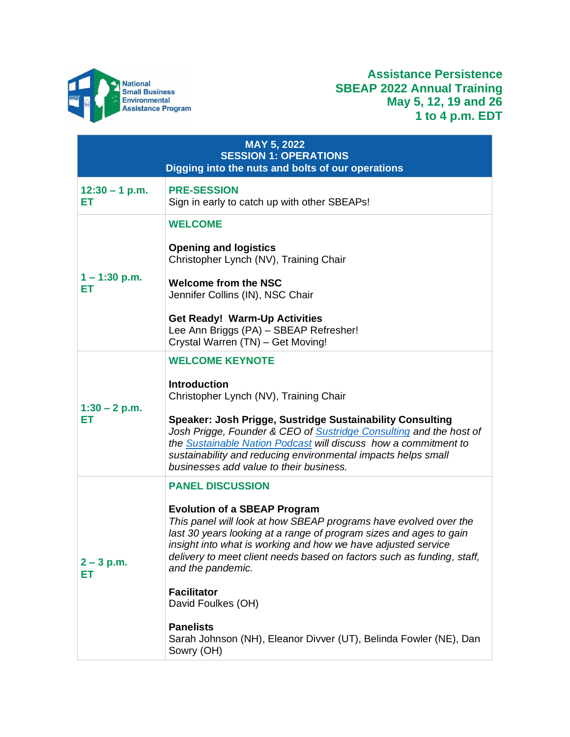

# **Assistance Persistence SBEAP 2022 Annual Training May 5, 12, 19 and 26 1 to 4 p.m. EDT**

| <b>MAY 5, 2022</b><br><b>SESSION 1: OPERATIONS</b><br>Digging into the nuts and bolts of our operations |                                                                                                                                                                                                                                                                                                                                                                                                                                                                                                                             |
|---------------------------------------------------------------------------------------------------------|-----------------------------------------------------------------------------------------------------------------------------------------------------------------------------------------------------------------------------------------------------------------------------------------------------------------------------------------------------------------------------------------------------------------------------------------------------------------------------------------------------------------------------|
| $12:30 - 1$ p.m.<br>ЕT                                                                                  | <b>PRE-SESSION</b><br>Sign in early to catch up with other SBEAPs!                                                                                                                                                                                                                                                                                                                                                                                                                                                          |
| $1 - 1:30$ p.m.<br>ЕT                                                                                   | <b>WELCOME</b><br><b>Opening and logistics</b><br>Christopher Lynch (NV), Training Chair<br><b>Welcome from the NSC</b><br>Jennifer Collins (IN), NSC Chair<br><b>Get Ready! Warm-Up Activities</b><br>Lee Ann Briggs (PA) - SBEAP Refresher!<br>Crystal Warren (TN) - Get Moving!                                                                                                                                                                                                                                          |
| $1:30 - 2$ p.m.<br>EТ                                                                                   | <b>WELCOME KEYNOTE</b><br><b>Introduction</b><br>Christopher Lynch (NV), Training Chair<br>Speaker: Josh Prigge, Sustridge Sustainability Consulting<br>Josh Prigge, Founder & CEO of Sustridge Consulting and the host of<br>the Sustainable Nation Podcast will discuss how a commitment to<br>sustainability and reducing environmental impacts helps small<br>businesses add value to their business.                                                                                                                   |
| $2 - 3$ p.m.<br>ЕT                                                                                      | <b>PANEL DISCUSSION</b><br><b>Evolution of a SBEAP Program</b><br>This panel will look at how SBEAP programs have evolved over the<br>last 30 years looking at a range of program sizes and ages to gain<br>insight into what is working and how we have adjusted service<br>delivery to meet client needs based on factors such as funding, staff,<br>and the pandemic.<br><b>Facilitator</b><br>David Foulkes (OH)<br><b>Panelists</b><br>Sarah Johnson (NH), Eleanor Divver (UT), Belinda Fowler (NE), Dan<br>Sowry (OH) |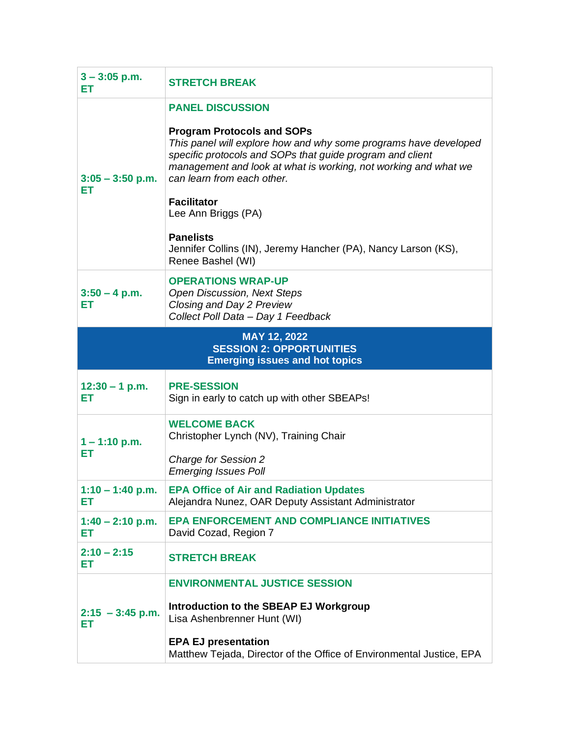| $3 - 3:05$ p.m.<br>EТ                                                                    | <b>STRETCH BREAK</b>                                                                                                                                                                                                                                                                                                                                                                                                                                   |  |
|------------------------------------------------------------------------------------------|--------------------------------------------------------------------------------------------------------------------------------------------------------------------------------------------------------------------------------------------------------------------------------------------------------------------------------------------------------------------------------------------------------------------------------------------------------|--|
| $3:05 - 3:50$ p.m.<br>EТ                                                                 | <b>PANEL DISCUSSION</b><br><b>Program Protocols and SOPs</b><br>This panel will explore how and why some programs have developed<br>specific protocols and SOPs that guide program and client<br>management and look at what is working, not working and what we<br>can learn from each other.<br><b>Facilitator</b><br>Lee Ann Briggs (PA)<br><b>Panelists</b><br>Jennifer Collins (IN), Jeremy Hancher (PA), Nancy Larson (KS),<br>Renee Bashel (WI) |  |
| $3:50 - 4$ p.m.<br>ЕT                                                                    | <b>OPERATIONS WRAP-UP</b><br><b>Open Discussion, Next Steps</b><br>Closing and Day 2 Preview<br>Collect Poll Data - Day 1 Feedback                                                                                                                                                                                                                                                                                                                     |  |
| MAY 12, 2022<br><b>SESSION 2: OPPORTUNITIES</b><br><b>Emerging issues and hot topics</b> |                                                                                                                                                                                                                                                                                                                                                                                                                                                        |  |
| $12:30 - 1$ p.m.<br>EТ                                                                   | <b>PRE-SESSION</b><br>Sign in early to catch up with other SBEAPs!                                                                                                                                                                                                                                                                                                                                                                                     |  |
|                                                                                          | <b>WELCOME BACK</b>                                                                                                                                                                                                                                                                                                                                                                                                                                    |  |
| $1 - 1:10$ p.m.<br>EТ                                                                    | Christopher Lynch (NV), Training Chair<br><b>Charge for Session 2</b><br><b>Emerging Issues Poll</b>                                                                                                                                                                                                                                                                                                                                                   |  |
| $1:10 - 1:40$ p.m.<br>ET                                                                 | <b>EPA Office of Air and Radiation Updates</b><br>Alejandra Nunez, OAR Deputy Assistant Administrator                                                                                                                                                                                                                                                                                                                                                  |  |
| $1:40 - 2:10$ p.m.<br>ET                                                                 | <b>EPA ENFORCEMENT AND COMPLIANCE INITIATIVES</b><br>David Cozad, Region 7                                                                                                                                                                                                                                                                                                                                                                             |  |
| $2:10 - 2:15$<br>ET                                                                      | <b>STRETCH BREAK</b>                                                                                                                                                                                                                                                                                                                                                                                                                                   |  |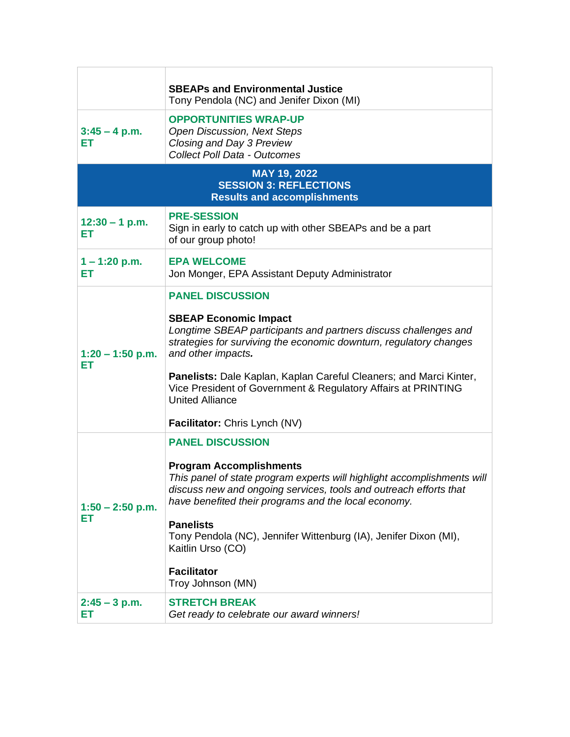|                                                                                     | <b>SBEAPs and Environmental Justice</b><br>Tony Pendola (NC) and Jenifer Dixon (MI)                                                                                                                                                                                                                                                                                                                                       |  |
|-------------------------------------------------------------------------------------|---------------------------------------------------------------------------------------------------------------------------------------------------------------------------------------------------------------------------------------------------------------------------------------------------------------------------------------------------------------------------------------------------------------------------|--|
| $3:45 - 4$ p.m.<br>EТ                                                               | <b>OPPORTUNITIES WRAP-UP</b><br><b>Open Discussion, Next Steps</b><br>Closing and Day 3 Preview<br><b>Collect Poll Data - Outcomes</b>                                                                                                                                                                                                                                                                                    |  |
| MAY 19, 2022<br><b>SESSION 3: REFLECTIONS</b><br><b>Results and accomplishments</b> |                                                                                                                                                                                                                                                                                                                                                                                                                           |  |
| $12:30 - 1$ p.m.<br>ЕT                                                              | <b>PRE-SESSION</b><br>Sign in early to catch up with other SBEAPs and be a part<br>of our group photo!                                                                                                                                                                                                                                                                                                                    |  |
| $1 - 1:20$ p.m.<br>ЕT                                                               | <b>EPA WELCOME</b><br>Jon Monger, EPA Assistant Deputy Administrator                                                                                                                                                                                                                                                                                                                                                      |  |
| $1:20 - 1:50$ p.m.<br>EТ                                                            | <b>PANEL DISCUSSION</b><br><b>SBEAP Economic Impact</b><br>Longtime SBEAP participants and partners discuss challenges and<br>strategies for surviving the economic downturn, regulatory changes<br>and other impacts.<br>Panelists: Dale Kaplan, Kaplan Careful Cleaners; and Marci Kinter,<br>Vice President of Government & Regulatory Affairs at PRINTING<br><b>United Alliance</b><br>Facilitator: Chris Lynch (NV)  |  |
| $1:50 - 2:50$ p.m.<br>EТ                                                            | <b>PANEL DISCUSSION</b><br><b>Program Accomplishments</b><br>This panel of state program experts will highlight accomplishments will<br>discuss new and ongoing services, tools and outreach efforts that<br>have benefited their programs and the local economy.<br><b>Panelists</b><br>Tony Pendola (NC), Jennifer Wittenburg (IA), Jenifer Dixon (MI),<br>Kaitlin Urso (CO)<br><b>Facilitator</b><br>Troy Johnson (MN) |  |
| $2:45 - 3$ p.m.<br>EТ                                                               | <b>STRETCH BREAK</b><br>Get ready to celebrate our award winners!                                                                                                                                                                                                                                                                                                                                                         |  |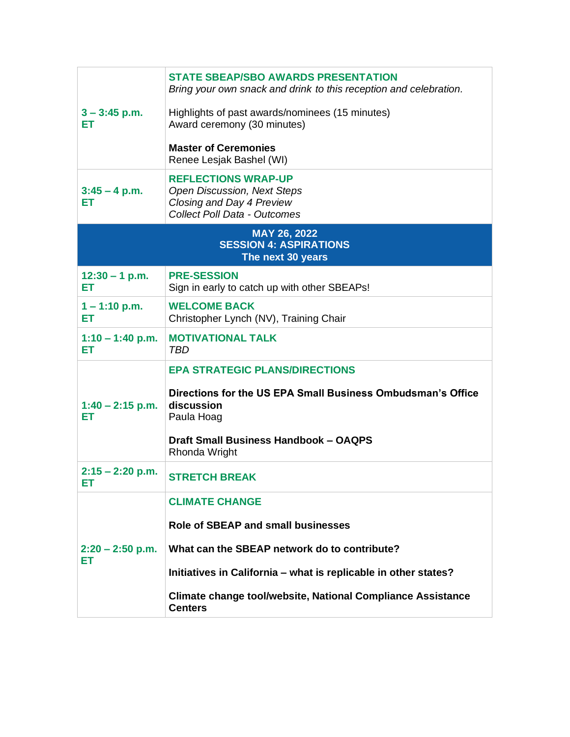| $3 - 3:45$ p.m.<br>ЕT<br>$3:45 - 4$ p.m.<br>ЕT                     | <b>STATE SBEAP/SBO AWARDS PRESENTATION</b><br>Bring your own snack and drink to this reception and celebration.<br>Highlights of past awards/nominees (15 minutes)<br>Award ceremony (30 minutes)<br><b>Master of Ceremonies</b><br>Renee Lesjak Bashel (WI)<br><b>REFLECTIONS WRAP-UP</b><br><b>Open Discussion, Next Steps</b><br>Closing and Day 4 Preview |  |
|--------------------------------------------------------------------|---------------------------------------------------------------------------------------------------------------------------------------------------------------------------------------------------------------------------------------------------------------------------------------------------------------------------------------------------------------|--|
|                                                                    | <b>Collect Poll Data - Outcomes</b>                                                                                                                                                                                                                                                                                                                           |  |
| MAY 26, 2022<br><b>SESSION 4: ASPIRATIONS</b><br>The next 30 years |                                                                                                                                                                                                                                                                                                                                                               |  |
| $12:30 - 1$ p.m.<br>ET                                             | <b>PRE-SESSION</b><br>Sign in early to catch up with other SBEAPs!                                                                                                                                                                                                                                                                                            |  |
| $1 - 1:10$ p.m.<br>ЕT                                              | <b>WELCOME BACK</b><br>Christopher Lynch (NV), Training Chair                                                                                                                                                                                                                                                                                                 |  |
| $1:10 - 1:40$ p.m.<br>ET                                           | <b>MOTIVATIONAL TALK</b><br>TBD                                                                                                                                                                                                                                                                                                                               |  |
| $1:40 - 2:15$ p.m.<br>ЕT                                           | <b>EPA STRATEGIC PLANS/DIRECTIONS</b><br>Directions for the US EPA Small Business Ombudsman's Office<br>discussion<br>Paula Hoag<br><b>Draft Small Business Handbook - OAQPS</b><br>Rhonda Wright                                                                                                                                                             |  |
| $2:15 - 2:20$ p.m.<br>ET.                                          | <b>STRETCH BREAK</b>                                                                                                                                                                                                                                                                                                                                          |  |
| $2:20 - 2:50$ p.m.<br>ET                                           | <b>CLIMATE CHANGE</b><br><b>Role of SBEAP and small businesses</b><br>What can the SBEAP network do to contribute?<br>Initiatives in California – what is replicable in other states?<br>Climate change tool/website, National Compliance Assistance<br><b>Centers</b>                                                                                        |  |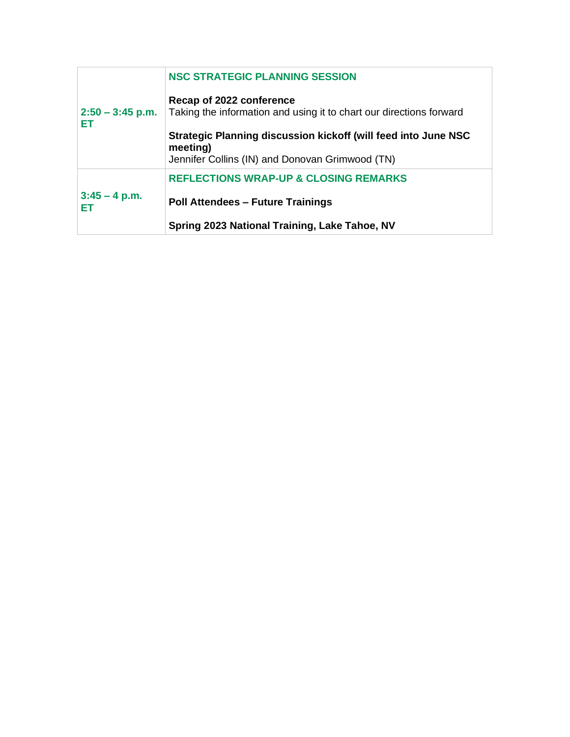|                          | <b>NSC STRATEGIC PLANNING SESSION</b>                                                                                         |
|--------------------------|-------------------------------------------------------------------------------------------------------------------------------|
| $2:50 - 3:45$ p.m.<br>ЕT | Recap of 2022 conference<br>Taking the information and using it to chart our directions forward                               |
|                          | Strategic Planning discussion kickoff (will feed into June NSC<br>meeting)<br>Jennifer Collins (IN) and Donovan Grimwood (TN) |
|                          | <b>REFLECTIONS WRAP-UP &amp; CLOSING REMARKS</b>                                                                              |
| $3:45 - 4$ p.m.<br>FТ    | <b>Poll Attendees - Future Trainings</b>                                                                                      |
|                          | Spring 2023 National Training, Lake Tahoe, NV                                                                                 |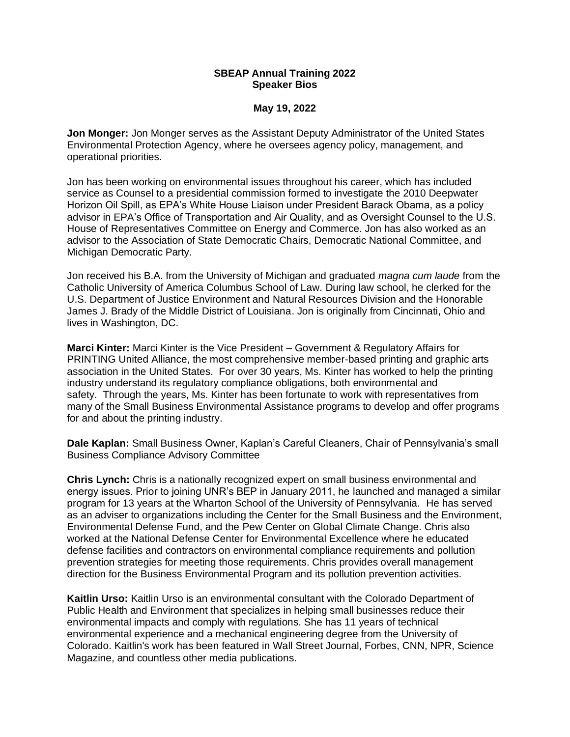## **SBEAP Annual Training 2022 Speaker Bios**

#### **May 19, 2022**

**Jon Monger:** Jon Monger serves as the Assistant Deputy Administrator of the United States Environmental Protection Agency, where he oversees agency policy, management, and operational priorities.

Jon has been working on environmental issues throughout his career, which has included service as Counsel to a presidential commission formed to investigate the 2010 Deepwater Horizon Oil Spill, as EPA's White House Liaison under President Barack Obama, as a policy advisor in EPA's Office of Transportation and Air Quality, and as Oversight Counsel to the U.S. House of Representatives Committee on Energy and Commerce. Jon has also worked as an advisor to the Association of State Democratic Chairs, Democratic National Committee, and Michigan Democratic Party.

Jon received his B.A. from the University of Michigan and graduated *magna cum laude* from the Catholic University of America Columbus School of Law. During law school, he clerked for the U.S. Department of Justice Environment and Natural Resources Division and the Honorable James J. Brady of the Middle District of Louisiana. Jon is originally from Cincinnati, Ohio and lives in Washington, DC.

**Marci Kinter:** Marci Kinter is the Vice President – Government & Regulatory Affairs for PRINTING United Alliance, the most comprehensive member-based printing and graphic arts association in the United States. For over 30 years, Ms. Kinter has worked to help the printing industry understand its regulatory compliance obligations, both environmental and safety. Through the years, Ms. Kinter has been fortunate to work with representatives from many of the Small Business Environmental Assistance programs to develop and offer programs for and about the printing industry.

**Dale Kaplan:** Small Business Owner, Kaplan's Careful Cleaners, Chair of Pennsylvania's small Business Compliance Advisory Committee

**Chris Lynch:** Chris is a nationally recognized expert on small business environmental and energy issues. Prior to joining UNR's BEP in January 2011, he launched and managed a similar program for 13 years at the Wharton School of the University of Pennsylvania. He has served as an adviser to organizations including the Center for the Small Business and the Environment, Environmental Defense Fund, and the Pew Center on Global Climate Change. Chris also worked at the National Defense Center for Environmental Excellence where he educated defense facilities and contractors on environmental compliance requirements and pollution prevention strategies for meeting those requirements. Chris provides overall management direction for the Business Environmental Program and its pollution prevention activities.

**Kaitlin Urso:** Kaitlin Urso is an environmental consultant with the Colorado Department of Public Health and Environment that specializes in helping small businesses reduce their environmental impacts and comply with regulations. She has 11 years of technical environmental experience and a mechanical engineering degree from the University of Colorado. Kaitlin's work has been featured in Wall Street Journal, Forbes, CNN, NPR, Science Magazine, and countless other media publications.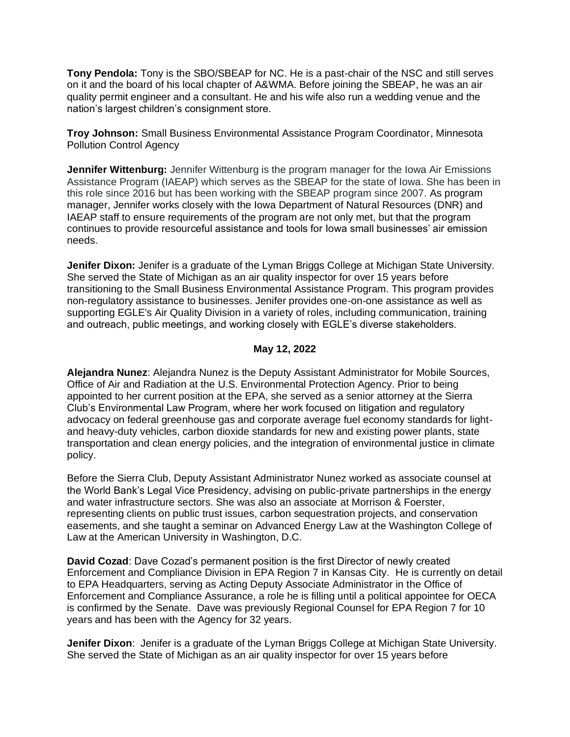**Tony Pendola:** Tony is the SBO/SBEAP for NC. He is a past-chair of the NSC and still serves on it and the board of his local chapter of A&WMA. Before joining the SBEAP, he was an air quality permit engineer and a consultant. He and his wife also run a wedding venue and the nation's largest children's consignment store.

**Troy Johnson:** Small Business Environmental Assistance Program Coordinator, Minnesota Pollution Control Agency

**Jennifer Wittenburg:** Jennifer Wittenburg is the program manager for the Iowa Air Emissions Assistance Program (IAEAP) which serves as the SBEAP for the state of Iowa. She has been in this role since 2016 but has been working with the SBEAP program since 2007. As program manager, Jennifer works closely with the Iowa Department of Natural Resources (DNR) and IAEAP staff to ensure requirements of the program are not only met, but that the program continues to provide resourceful assistance and tools for Iowa small businesses' air emission needs.

**Jenifer Dixon:** Jenifer is a graduate of the Lyman Briggs College at Michigan State University. She served the State of Michigan as an air quality inspector for over 15 years before transitioning to the Small Business Environmental Assistance Program. This program provides non-regulatory assistance to businesses. Jenifer provides one-on-one assistance as well as supporting EGLE's Air Quality Division in a variety of roles, including communication, training and outreach, public meetings, and working closely with EGLE's diverse stakeholders.

# **May 12, 2022**

**Alejandra Nunez**: Alejandra Nunez is the Deputy Assistant Administrator for Mobile Sources, Office of Air and Radiation at the U.S. Environmental Protection Agency. Prior to being appointed to her current position at the EPA, she served as a senior attorney at the Sierra Club's Environmental Law Program, where her work focused on litigation and regulatory advocacy on federal greenhouse gas and corporate average fuel economy standards for lightand heavy-duty vehicles, carbon dioxide standards for new and existing power plants, state transportation and clean energy policies, and the integration of environmental justice in climate policy.

Before the Sierra Club, Deputy Assistant Administrator Nunez worked as associate counsel at the World Bank's Legal Vice Presidency, advising on public-private partnerships in the energy and water infrastructure sectors. She was also an associate at Morrison & Foerster, representing clients on public trust issues, carbon sequestration projects, and conservation easements, and she taught a seminar on Advanced Energy Law at the Washington College of Law at the American University in Washington, D.C.

**David Cozad**: Dave Cozad's permanent position is the first Director of newly created Enforcement and Compliance Division in EPA Region 7 in Kansas City. He is currently on detail to EPA Headquarters, serving as Acting Deputy Associate Administrator in the Office of Enforcement and Compliance Assurance, a role he is filling until a political appointee for OECA is confirmed by the Senate. Dave was previously Regional Counsel for EPA Region 7 for 10 years and has been with the Agency for 32 years.

**Jenifer Dixon**: Jenifer is a graduate of the Lyman Briggs College at Michigan State University. She served the State of Michigan as an air quality inspector for over 15 years before